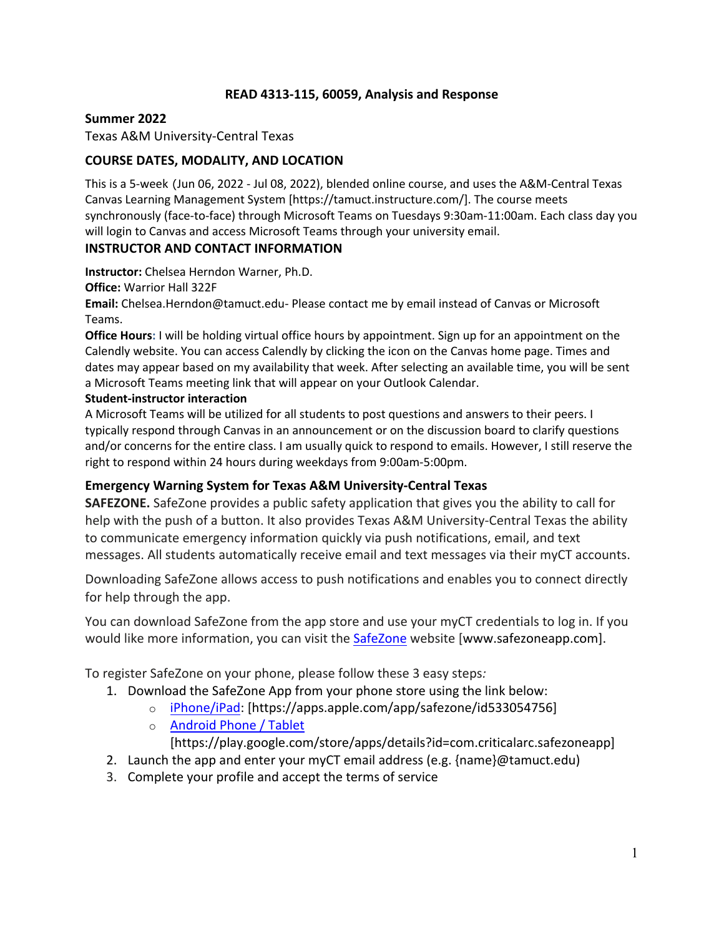## **READ 4313-115, 60059, Analysis and Response**

#### **Summer 2022**

Texas A&M University-Central Texas

## **COURSE DATES, MODALITY, AND LOCATION**

This is a 5-week (Jun 06, 2022 - Jul 08, 2022), blended online course, and uses the A&M-Central Texas Canvas Learning Management System [https://tamuct.instructure.com/]. The course meets synchronously (face-to-face) through Microsoft Teams on Tuesdays 9:30am-11:00am. Each class day you will login to Canvas and access Microsoft Teams through your university email.

#### **INSTRUCTOR AND CONTACT INFORMATION**

**Instructor:** Chelsea Herndon Warner, Ph.D.

**Office:** Warrior Hall 322F

**Email:** Chelsea.Herndon@tamuct.edu- Please contact me by email instead of Canvas or Microsoft Teams.

**Office Hours:** I will be holding virtual office hours by appointment. Sign up for an appointment on the Calendly website. You can access Calendly by clicking the icon on the Canvas home page. Times and dates may appear based on my availability that week. After selecting an available time, you will be sent a Microsoft Teams meeting link that will appear on your Outlook Calendar.

#### **Student-instructor interaction**

A Microsoft Teams will be utilized for all students to post questions and answers to their peers. I typically respond through Canvas in an announcement or on the discussion board to clarify questions and/or concerns for the entire class. I am usually quick to respond to emails. However, I still reserve the right to respond within 24 hours during weekdays from 9:00am-5:00pm.

## **Emergency Warning System for Texas A&M University-Central Texas**

**SAFEZONE.** SafeZone provides a public safety application that gives you the ability to call for help with the push of a button. It also provides Texas A&M University-Central Texas the ability to communicate emergency information quickly via push notifications, email, and text messages. All students automatically receive email and text messages via their myCT accounts.

Downloading SafeZone allows access to push notifications and enables you to connect directly for help through the app.

You can download SafeZone from the app store and use your myCT credentials to log in. If you would like more information, you can visit the SafeZone website [www.safezoneapp.com].

To register SafeZone on your phone, please follow these 3 easy steps*:*

- 1. Download the SafeZone App from your phone store using the link below:
	- o iPhone/iPad: [https://apps.apple.com/app/safezone/id533054756]
	- o Android Phone / Tablet

[https://play.google.com/store/apps/details?id=com.criticalarc.safezoneapp]

- 2. Launch the app and enter your myCT email address (e.g. {name}@tamuct.edu)
- 3. Complete your profile and accept the terms of service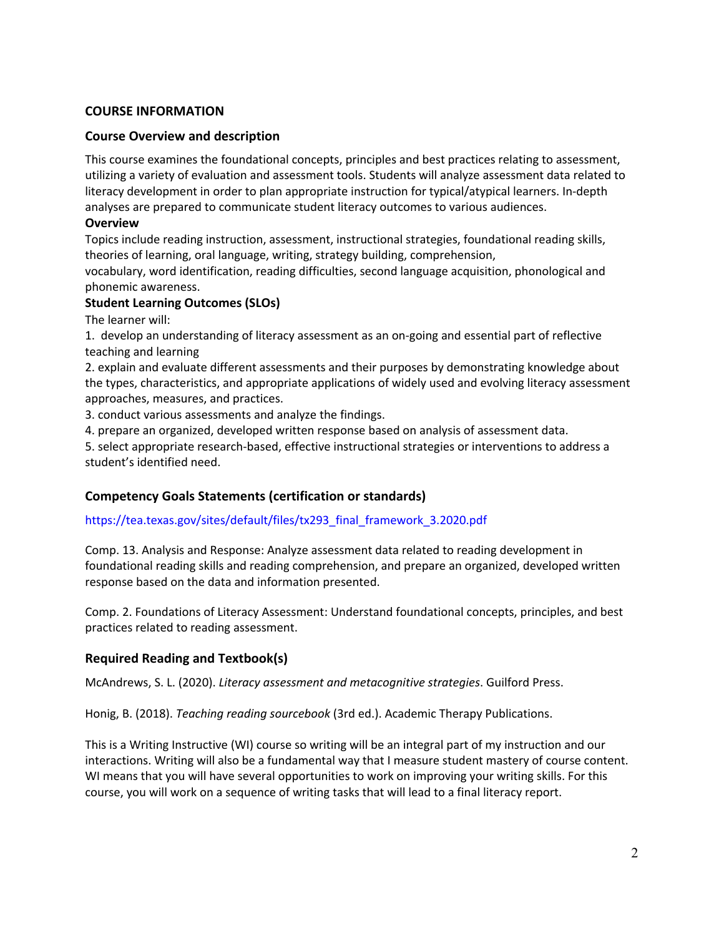#### **COURSE INFORMATION**

### **Course Overview and description**

This course examines the foundational concepts, principles and best practices relating to assessment, utilizing a variety of evaluation and assessment tools. Students will analyze assessment data related to literacy development in order to plan appropriate instruction for typical/atypical learners. In-depth analyses are prepared to communicate student literacy outcomes to various audiences.

#### **Overview**

Topics include reading instruction, assessment, instructional strategies, foundational reading skills, theories of learning, oral language, writing, strategy building, comprehension,

vocabulary, word identification, reading difficulties, second language acquisition, phonological and phonemic awareness.

#### **Student Learning Outcomes (SLOs)**

The learner will:

1. develop an understanding of literacy assessment as an on-going and essential part of reflective teaching and learning

2. explain and evaluate different assessments and their purposes by demonstrating knowledge about the types, characteristics, and appropriate applications of widely used and evolving literacy assessment approaches, measures, and practices.

3. conduct various assessments and analyze the findings.

4. prepare an organized, developed written response based on analysis of assessment data.

5. select appropriate research-based, effective instructional strategies or interventions to address a student's identified need.

## **Competency Goals Statements (certification or standards)**

#### https://tea.texas.gov/sites/default/files/tx293\_final\_framework\_3.2020.pdf

Comp. 13. Analysis and Response: Analyze assessment data related to reading development in foundational reading skills and reading comprehension, and prepare an organized, developed written response based on the data and information presented.

Comp. 2. Foundations of Literacy Assessment: Understand foundational concepts, principles, and best practices related to reading assessment.

## **Required Reading and Textbook(s)**

McAndrews, S. L. (2020). *Literacy assessment and metacognitive strategies*. Guilford Press.

Honig, B. (2018). *Teaching reading sourcebook* (3rd ed.). Academic Therapy Publications.

This is a Writing Instructive (WI) course so writing will be an integral part of my instruction and our interactions. Writing will also be a fundamental way that I measure student mastery of course content. WI means that you will have several opportunities to work on improving your writing skills. For this course, you will work on a sequence of writing tasks that will lead to a final literacy report.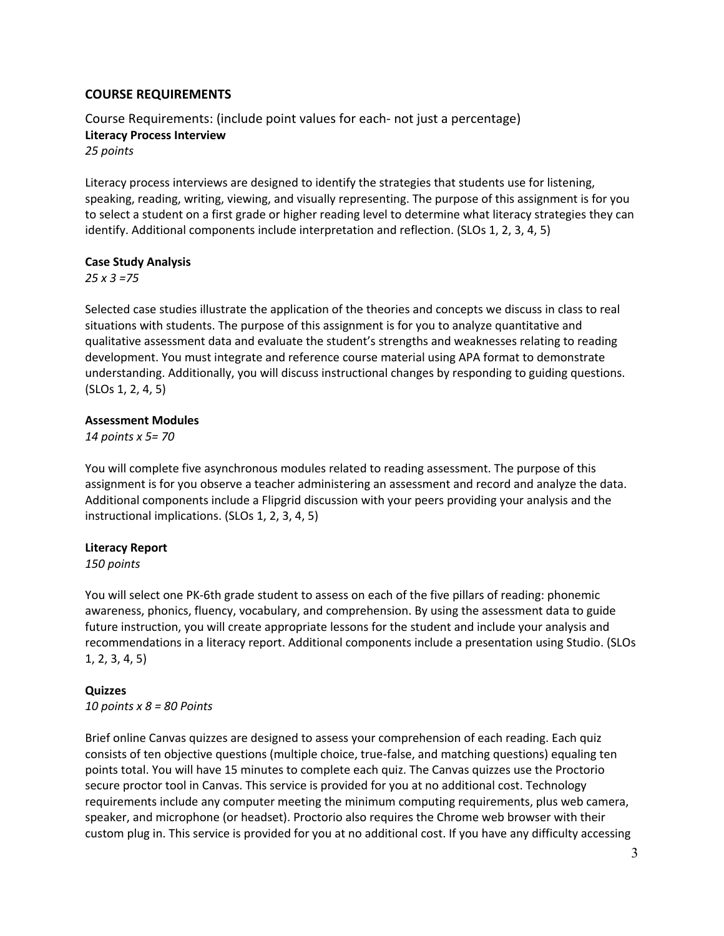### **COURSE REQUIREMENTS**

Course Requirements: (include point values for each- not just a percentage) **Literacy Process Interview** *25 points*

Literacy process interviews are designed to identify the strategies that students use for listening, speaking, reading, writing, viewing, and visually representing. The purpose of this assignment is for you to select a student on a first grade or higher reading level to determine what literacy strategies they can identify. Additional components include interpretation and reflection. (SLOs 1, 2, 3, 4, 5)

#### **Case Study Analysis**

*25 x 3 =75*

Selected case studies illustrate the application of the theories and concepts we discuss in class to real situations with students. The purpose of this assignment is for you to analyze quantitative and qualitative assessment data and evaluate the student's strengths and weaknesses relating to reading development. You must integrate and reference course material using APA format to demonstrate understanding. Additionally, you will discuss instructional changes by responding to guiding questions. (SLOs 1, 2, 4, 5)

#### **Assessment Modules**

*14 points x 5= 70*

You will complete five asynchronous modules related to reading assessment. The purpose of this assignment is for you observe a teacher administering an assessment and record and analyze the data. Additional components include a Flipgrid discussion with your peers providing your analysis and the instructional implications. (SLOs 1, 2, 3, 4, 5)

#### **Literacy Report**

*150 points*

You will select one PK-6th grade student to assess on each of the five pillars of reading: phonemic awareness, phonics, fluency, vocabulary, and comprehension. By using the assessment data to guide future instruction, you will create appropriate lessons for the student and include your analysis and recommendations in a literacy report. Additional components include a presentation using Studio. (SLOs 1, 2, 3, 4, 5)

#### **Quizzes**

*10 points x 8 = 80 Points*

Brief online Canvas quizzes are designed to assess your comprehension of each reading. Each quiz consists of ten objective questions (multiple choice, true-false, and matching questions) equaling ten points total. You will have 15 minutes to complete each quiz. The Canvas quizzes use the Proctorio secure proctor tool in Canvas. This service is provided for you at no additional cost. Technology requirements include any computer meeting the minimum computing requirements, plus web camera, speaker, and microphone (or headset). Proctorio also requires the Chrome web browser with their custom plug in. This service is provided for you at no additional cost. If you have any difficulty accessing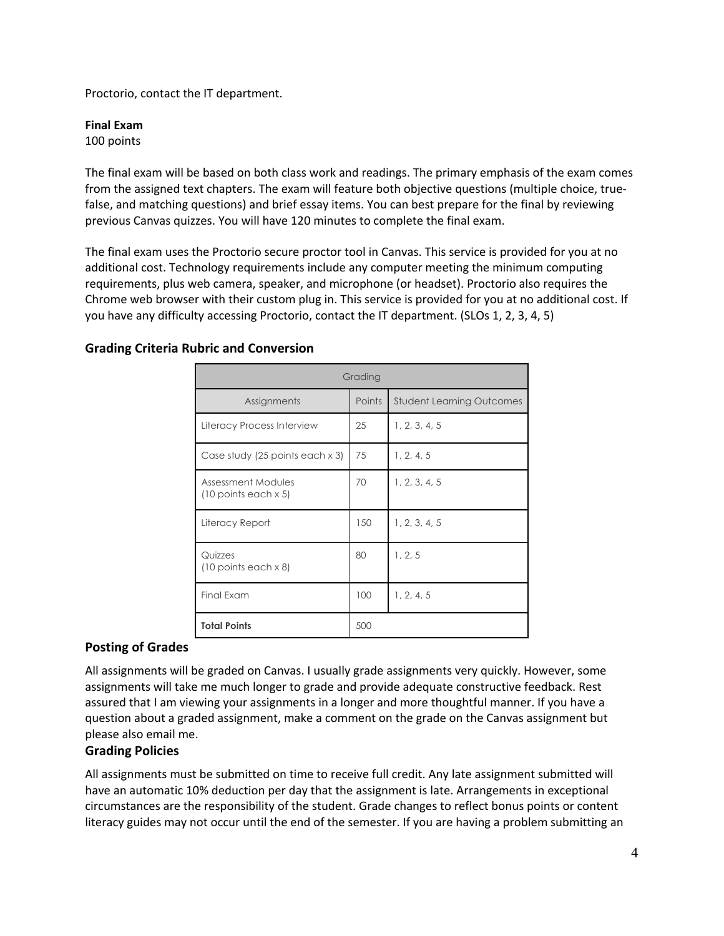Proctorio, contact the IT department.

#### **Final Exam**

100 points

The final exam will be based on both class work and readings. The primary emphasis of the exam comes from the assigned text chapters. The exam will feature both objective questions (multiple choice, truefalse, and matching questions) and brief essay items. You can best prepare for the final by reviewing previous Canvas quizzes. You will have 120 minutes to complete the final exam.

The final exam uses the Proctorio secure proctor tool in Canvas. This service is provided for you at no additional cost. Technology requirements include any computer meeting the minimum computing requirements, plus web camera, speaker, and microphone (or headset). Proctorio also requires the Chrome web browser with their custom plug in. This service is provided for you at no additional cost. If you have any difficulty accessing Proctorio, contact the IT department. (SLOs 1, 2, 3, 4, 5)

## **Grading Criteria Rubric and Conversion**

| Grading                                             |        |                                  |  |  |  |  |  |
|-----------------------------------------------------|--------|----------------------------------|--|--|--|--|--|
| Assignments                                         | Points | <b>Student Learning Outcomes</b> |  |  |  |  |  |
| Literacy Process Interview                          | 25     | 1, 2, 3, 4, 5                    |  |  |  |  |  |
| Case study (25 points each x 3)                     | 75     | 1, 2, 4, 5                       |  |  |  |  |  |
| Assessment Modules<br>$(10$ points each $\times$ 5) | 70     | 1, 2, 3, 4, 5                    |  |  |  |  |  |
| Literacy Report                                     | 150    | 1, 2, 3, 4, 5                    |  |  |  |  |  |
| Quizzes<br>$(10$ points each $\times$ 8)            | 80     | 1, 2, 5                          |  |  |  |  |  |
| Final Exam                                          | 100    | 1, 2, 4, 5                       |  |  |  |  |  |
| <b>Total Points</b>                                 | 500    |                                  |  |  |  |  |  |

## **Posting of Grades**

All assignments will be graded on Canvas. I usually grade assignments very quickly. However, some assignments will take me much longer to grade and provide adequate constructive feedback. Rest assured that I am viewing your assignments in a longer and more thoughtful manner. If you have a question about a graded assignment, make a comment on the grade on the Canvas assignment but please also email me.

#### **Grading Policies**

All assignments must be submitted on time to receive full credit. Any late assignment submitted will have an automatic 10% deduction per day that the assignment is late. Arrangements in exceptional circumstances are the responsibility of the student. Grade changes to reflect bonus points or content literacy guides may not occur until the end of the semester. If you are having a problem submitting an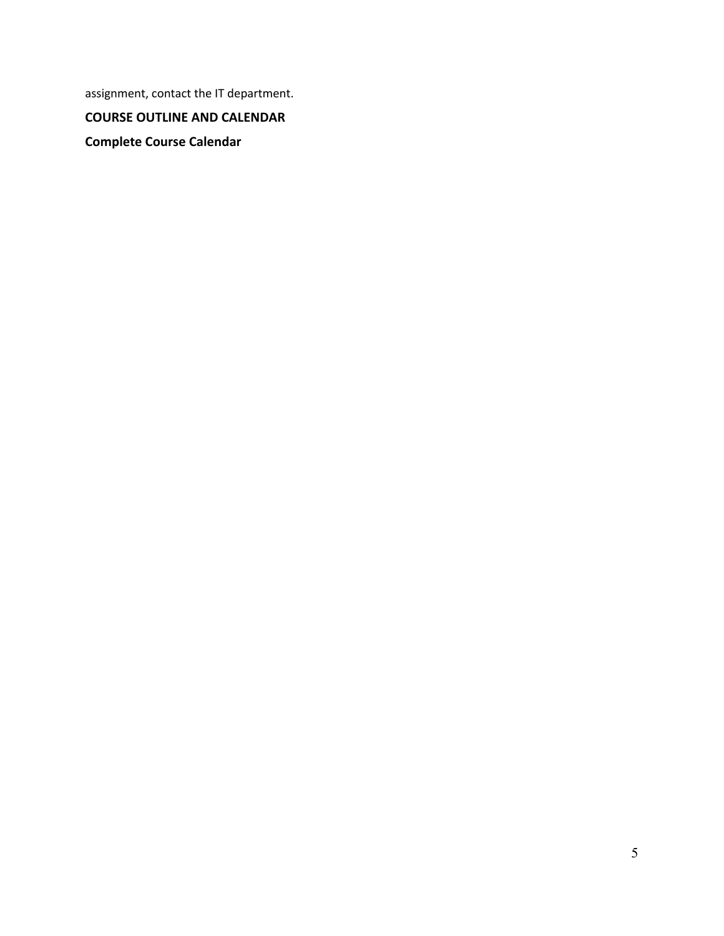assignment, contact the IT department.

**COURSE OUTLINE AND CALENDAR**

**Complete Course Calendar**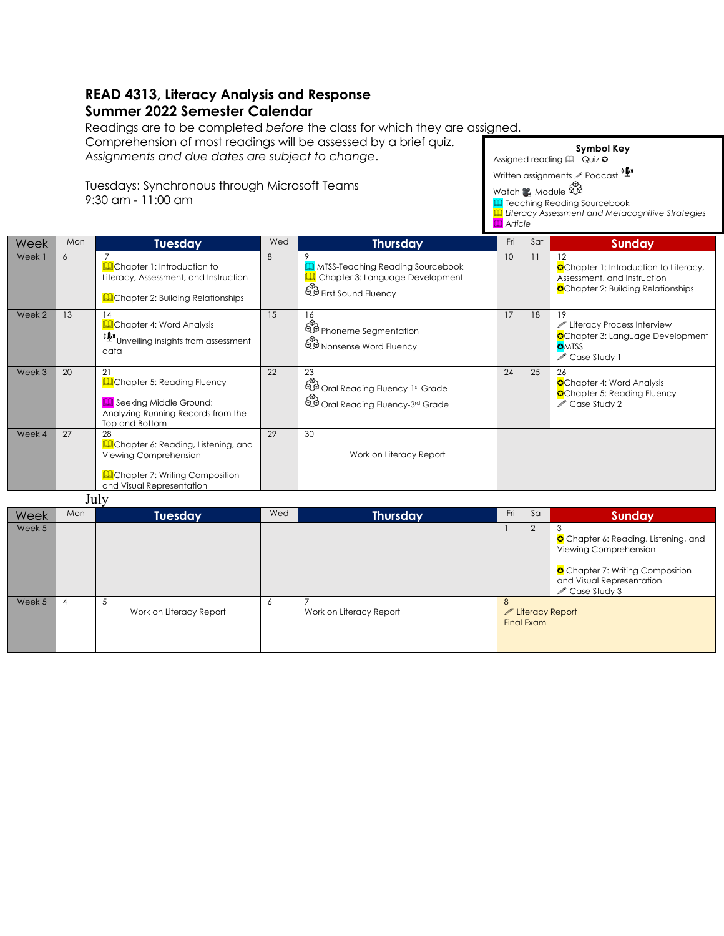## **READ 4313, Literacy Analysis and Response Summer 2022 Semester Calendar**

Readings are to be completed *before* the class for which they are assigned.

Comprehension of most readings will be assessed by a brief quiz. *Assignments and due dates are subject to change*.

Tuesdays: Synchronous through Microsoft Teams 9:30 am - 11:00 am

|        |     |                                                                                                                                                    |     |                                                                                                              | <b>A</b> Article |     |                                                                                                                                  |
|--------|-----|----------------------------------------------------------------------------------------------------------------------------------------------------|-----|--------------------------------------------------------------------------------------------------------------|------------------|-----|----------------------------------------------------------------------------------------------------------------------------------|
| Week   | Mon | <b>Tuesday</b>                                                                                                                                     | Wed | <b>Thursday</b>                                                                                              | Fri              | Sat | <b>Sunday</b>                                                                                                                    |
| Week 1 | 6   | <b>La</b> Chapter 1: Introduction to<br>Literacy, Assessment, and Instruction<br><b>Q</b> Chapter 2: Building Relationships                        | 8   | <b>I</b> MTSS-Teaching Reading Sourcebook<br>Chapter 3: Language Development<br><b>D</b> First Sound Fluency | 10               | 11  | 12<br><b>O</b> Chapter 1: Introduction to Literacy,<br>Assessment, and Instruction<br><b>O</b> Chapter 2: Building Relationships |
| Week 2 | 13  | 14<br><b>Li</b> Chapter 4: Word Analysis<br>(リ) Unveiling insights from assessment<br>data                                                         | 15  | 16<br>Phoneme Segmentation<br>Nonsense Word Fluency                                                          | 17               | 18  | 19<br>Literacy Process Interview<br><b>O</b> Chapter 3: Language Development<br><b>OMTSS</b><br>Case Study 1                     |
| Week 3 | 20  | 21<br><b>Q</b> Chapter 5: Reading Fluency<br><b>Q</b> Seeking Middle Ground:<br>Analyzing Running Records from the<br>Top and Bottom               | 22  | 23<br>Conditional Reading Fluency-1st Grade<br>Cral Reading Fluency-3rd Grade                                | 24               | 25  | 26<br><b>O</b> Chapter 4: Word Analysis<br><b>O</b> Chapter 5: Reading Fluency<br>$\mathscr{P}$ Case Study 2                     |
| Week 4 | 27  | 28<br><b>A</b> Chapter 6: Reading, Listening, and<br>Viewing Comprehension<br><b>Q</b> Chapter 7: Writing Composition<br>and Visual Representation | 29  | 30<br>Work on Literacy Report                                                                                |                  |     |                                                                                                                                  |

**Symbol Key**

& *Literacy Assessment and Metacognitive Strategies*

Assigned reading  $\Box$  Quiz  $\circ$ Written assignments  $\ell$  Podcast  $``\overset{\ell}{\blacktriangleright}$ 

**Q** Teaching Reading Sourcebook

Watch **&** Module  $\overbrace{\mathbb{R}}^{\infty}$ 

July

| Week   | Mon | Tuesday                 | Wed | <b>Thursday</b>         | Fri                                              | Sat | Sunday                                                                                                                                                   |
|--------|-----|-------------------------|-----|-------------------------|--------------------------------------------------|-----|----------------------------------------------------------------------------------------------------------------------------------------------------------|
| Week 5 |     |                         |     |                         |                                                  |     | Chapter 6: Reading, Listening, and<br>Viewing Comprehension<br>Chapter 7: Writing Composition<br>and Visual Representation<br>$\mathscr{L}$ Case Study 3 |
| Week 5 | 4   | Work on Literacy Report | 6   | Work on Literacy Report | 8<br>$\mathscr{P}$ Literacy Report<br>Final Exam |     |                                                                                                                                                          |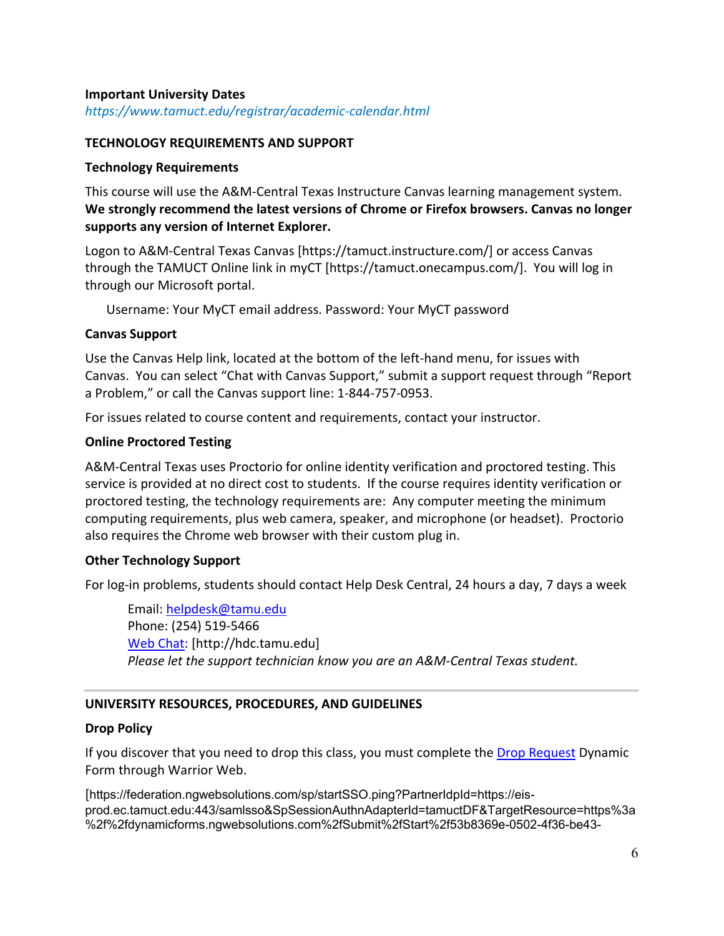### **Important University Dates**

*https://www.tamuct.edu/registrar/academic-calendar.html*

#### **TECHNOLOGY REQUIREMENTS AND SUPPORT**

#### **Technology Requirements**

This course will use the A&M-Central Texas Instructure Canvas learning management system. **We strongly recommend the latest versions of Chrome or Firefox browsers. Canvas no longer supports any version of Internet Explorer.**

Logon to A&M-Central Texas Canvas [https://tamuct.instructure.com/] or access Canvas through the TAMUCT Online link in myCT [https://tamuct.onecampus.com/]. You will log in through our Microsoft portal.

Username: Your MyCT email address. Password: Your MyCT password

## **Canvas Support**

Use the Canvas Help link, located at the bottom of the left-hand menu, for issues with Canvas. You can select "Chat with Canvas Support," submit a support request through "Report a Problem," or call the Canvas support line: 1-844-757-0953.

For issues related to course content and requirements, contact your instructor.

#### **Online Proctored Testing**

A&M-Central Texas uses Proctorio for online identity verification and proctored testing. This service is provided at no direct cost to students. If the course requires identity verification or proctored testing, the technology requirements are: Any computer meeting the minimum computing requirements, plus web camera, speaker, and microphone (or headset). Proctorio also requires the Chrome web browser with their custom plug in.

## **Other Technology Support**

For log-in problems, students should contact Help Desk Central, 24 hours a day, 7 days a week

Email: helpdesk@tamu.edu Phone: (254) 519-5466 Web Chat: [http://hdc.tamu.edu] *Please let the support technician know you are an A&M-Central Texas student.*

## **UNIVERSITY RESOURCES, PROCEDURES, AND GUIDELINES**

#### **Drop Policy**

If you discover that you need to drop this class, you must complete the Drop Request Dynamic Form through Warrior Web.

[https://federation.ngwebsolutions.com/sp/startSSO.ping?PartnerIdpId=https://eisprod.ec.tamuct.edu:443/samlsso&SpSessionAuthnAdapterId=tamuctDF&TargetResource=https%3a %2f%2fdynamicforms.ngwebsolutions.com%2fSubmit%2fStart%2f53b8369e-0502-4f36-be43-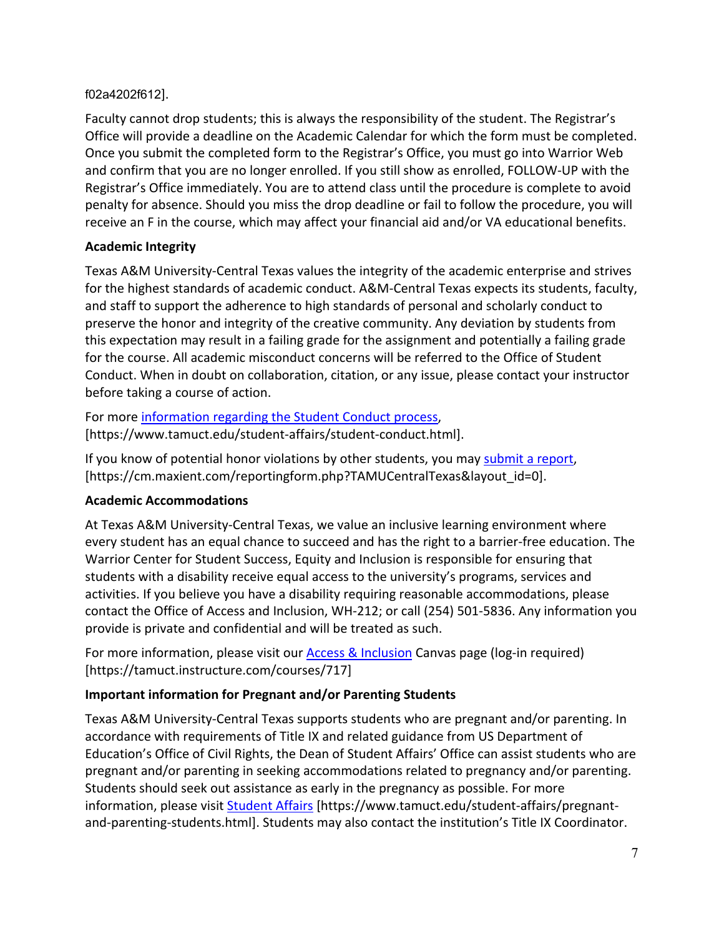## f02a4202f612].

Faculty cannot drop students; this is always the responsibility of the student. The Registrar's Office will provide a deadline on the Academic Calendar for which the form must be completed. Once you submit the completed form to the Registrar's Office, you must go into Warrior Web and confirm that you are no longer enrolled. If you still show as enrolled, FOLLOW-UP with the Registrar's Office immediately. You are to attend class until the procedure is complete to avoid penalty for absence. Should you miss the drop deadline or fail to follow the procedure, you will receive an F in the course, which may affect your financial aid and/or VA educational benefits.

# **Academic Integrity**

Texas A&M University-Central Texas values the integrity of the academic enterprise and strives for the highest standards of academic conduct. A&M-Central Texas expects its students, faculty, and staff to support the adherence to high standards of personal and scholarly conduct to preserve the honor and integrity of the creative community. Any deviation by students from this expectation may result in a failing grade for the assignment and potentially a failing grade for the course. All academic misconduct concerns will be referred to the Office of Student Conduct. When in doubt on collaboration, citation, or any issue, please contact your instructor before taking a course of action.

For more information regarding the Student Conduct process, [https://www.tamuct.edu/student-affairs/student-conduct.html].

If you know of potential honor violations by other students, you may submit a report, [https://cm.maxient.com/reportingform.php?TAMUCentralTexas&layout\_id=0].

# **Academic Accommodations**

At Texas A&M University-Central Texas, we value an inclusive learning environment where every student has an equal chance to succeed and has the right to a barrier-free education. The Warrior Center for Student Success, Equity and Inclusion is responsible for ensuring that students with a disability receive equal access to the university's programs, services and activities. If you believe you have a disability requiring reasonable accommodations, please contact the Office of Access and Inclusion, WH-212; or call (254) 501-5836. Any information you provide is private and confidential and will be treated as such.

For more information, please visit our **Access & Inclusion** Canvas page (log-in required) [https://tamuct.instructure.com/courses/717]

# **Important information for Pregnant and/or Parenting Students**

Texas A&M University-Central Texas supports students who are pregnant and/or parenting. In accordance with requirements of Title IX and related guidance from US Department of Education's Office of Civil Rights, the Dean of Student Affairs' Office can assist students who are pregnant and/or parenting in seeking accommodations related to pregnancy and/or parenting. Students should seek out assistance as early in the pregnancy as possible. For more information, please visit Student Affairs [https://www.tamuct.edu/student-affairs/pregnantand-parenting-students.html]. Students may also contact the institution's Title IX Coordinator.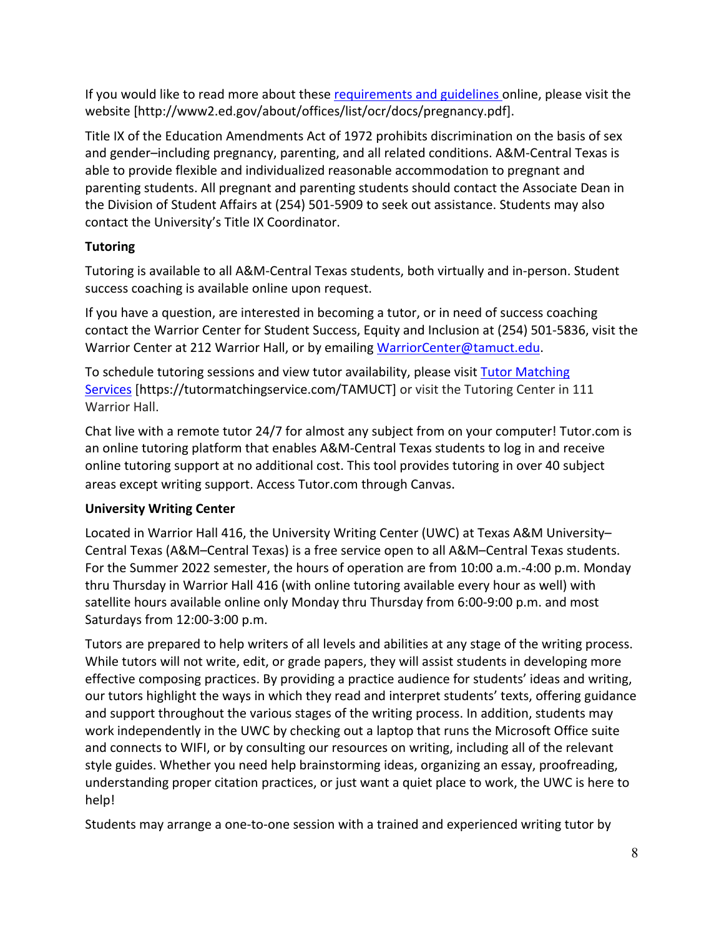If you would like to read more about these requirements and guidelines online, please visit the website [http://www2.ed.gov/about/offices/list/ocr/docs/pregnancy.pdf].

Title IX of the Education Amendments Act of 1972 prohibits discrimination on the basis of sex and gender–including pregnancy, parenting, and all related conditions. A&M-Central Texas is able to provide flexible and individualized reasonable accommodation to pregnant and parenting students. All pregnant and parenting students should contact the Associate Dean in the Division of Student Affairs at (254) 501-5909 to seek out assistance. Students may also contact the University's Title IX Coordinator.

# **Tutoring**

Tutoring is available to all A&M-Central Texas students, both virtually and in-person. Student success coaching is available online upon request.

If you have a question, are interested in becoming a tutor, or in need of success coaching contact the Warrior Center for Student Success, Equity and Inclusion at (254) 501-5836, visit the Warrior Center at 212 Warrior Hall, or by emailing WarriorCenter@tamuct.edu.

To schedule tutoring sessions and view tutor availability, please visit Tutor Matching Services [https://tutormatchingservice.com/TAMUCT] or visit the Tutoring Center in 111 Warrior Hall.

Chat live with a remote tutor 24/7 for almost any subject from on your computer! Tutor.com is an online tutoring platform that enables A&M-Central Texas students to log in and receive online tutoring support at no additional cost. This tool provides tutoring in over 40 subject areas except writing support. Access Tutor.com through Canvas.

## **University Writing Center**

Located in Warrior Hall 416, the University Writing Center (UWC) at Texas A&M University– Central Texas (A&M–Central Texas) is a free service open to all A&M–Central Texas students. For the Summer 2022 semester, the hours of operation are from 10:00 a.m.-4:00 p.m. Monday thru Thursday in Warrior Hall 416 (with online tutoring available every hour as well) with satellite hours available online only Monday thru Thursday from 6:00-9:00 p.m. and most Saturdays from 12:00-3:00 p.m.

Tutors are prepared to help writers of all levels and abilities at any stage of the writing process. While tutors will not write, edit, or grade papers, they will assist students in developing more effective composing practices. By providing a practice audience for students' ideas and writing, our tutors highlight the ways in which they read and interpret students' texts, offering guidance and support throughout the various stages of the writing process. In addition, students may work independently in the UWC by checking out a laptop that runs the Microsoft Office suite and connects to WIFI, or by consulting our resources on writing, including all of the relevant style guides. Whether you need help brainstorming ideas, organizing an essay, proofreading, understanding proper citation practices, or just want a quiet place to work, the UWC is here to help!

Students may arrange a one-to-one session with a trained and experienced writing tutor by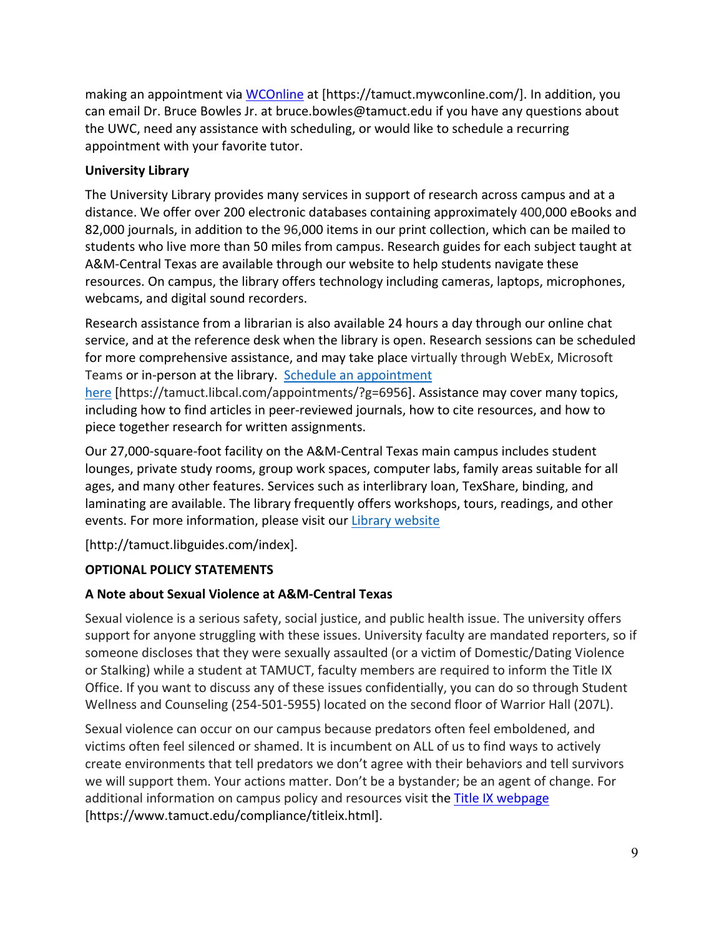making an appointment via WCOnline at [https://tamuct.mywconline.com/]. In addition, you can email Dr. Bruce Bowles Jr. at bruce.bowles@tamuct.edu if you have any questions about the UWC, need any assistance with scheduling, or would like to schedule a recurring appointment with your favorite tutor.

## **University Library**

The University Library provides many services in support of research across campus and at a distance. We offer over 200 electronic databases containing approximately 400,000 eBooks and 82,000 journals, in addition to the 96,000 items in our print collection, which can be mailed to students who live more than 50 miles from campus. Research guides for each subject taught at A&M-Central Texas are available through our website to help students navigate these resources. On campus, the library offers technology including cameras, laptops, microphones, webcams, and digital sound recorders.

Research assistance from a librarian is also available 24 hours a day through our online chat service, and at the reference desk when the library is open. Research sessions can be scheduled for more comprehensive assistance, and may take place virtually through WebEx, Microsoft Teams or in-person at the library. Schedule an appointment

here [https://tamuct.libcal.com/appointments/?g=6956]. Assistance may cover many topics, including how to find articles in peer-reviewed journals, how to cite resources, and how to piece together research for written assignments.

Our 27,000-square-foot facility on the A&M-Central Texas main campus includes student lounges, private study rooms, group work spaces, computer labs, family areas suitable for all ages, and many other features. Services such as interlibrary loan, TexShare, binding, and laminating are available. The library frequently offers workshops, tours, readings, and other events. For more information, please visit our Library website

[http://tamuct.libguides.com/index].

# **OPTIONAL POLICY STATEMENTS**

# **A Note about Sexual Violence at A&M-Central Texas**

Sexual violence is a serious safety, social justice, and public health issue. The university offers support for anyone struggling with these issues. University faculty are mandated reporters, so if someone discloses that they were sexually assaulted (or a victim of Domestic/Dating Violence or Stalking) while a student at TAMUCT, faculty members are required to inform the Title IX Office. If you want to discuss any of these issues confidentially, you can do so through Student Wellness and Counseling (254-501-5955) located on the second floor of Warrior Hall (207L).

Sexual violence can occur on our campus because predators often feel emboldened, and victims often feel silenced or shamed. It is incumbent on ALL of us to find ways to actively create environments that tell predators we don't agree with their behaviors and tell survivors we will support them. Your actions matter. Don't be a bystander; be an agent of change. For additional information on campus policy and resources visit the Title IX webpage [https://www.tamuct.edu/compliance/titleix.html].